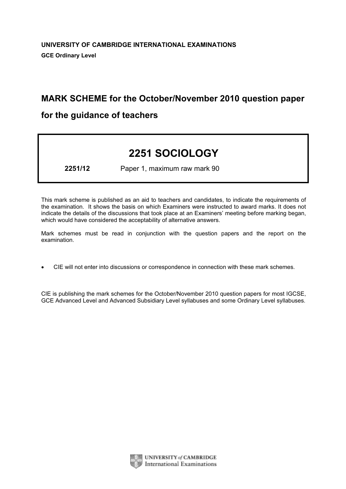# MARK SCHEME for the October/November 2010 question paper

# for the guidance of teachers

# 2251 SOCIOLOGY

2251/12 Paper 1, maximum raw mark 90

This mark scheme is published as an aid to teachers and candidates, to indicate the requirements of the examination. It shows the basis on which Examiners were instructed to award marks. It does not indicate the details of the discussions that took place at an Examiners' meeting before marking began, which would have considered the acceptability of alternative answers.

Mark schemes must be read in conjunction with the question papers and the report on the examination.

*•* CIE will not enter into discussions or correspondence in connection with these mark schemes.

CIE is publishing the mark schemes for the October/November 2010 question papers for most IGCSE, GCE Advanced Level and Advanced Subsidiary Level syllabuses and some Ordinary Level syllabuses.



UNIVERSITY of CAMBRIDGE **International Examinations**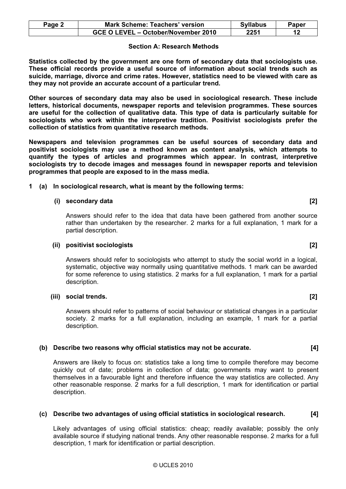| $P$ age $\sim$ | <b>Mark Scheme: Teachers' version</b> | <b>Syllabus</b> | Paper |
|----------------|---------------------------------------|-----------------|-------|
|                | GCE O LEVEL - October/November 2010   | 2251            |       |

#### Section A: Research Methods

Statistics collected by the government are one form of secondary data that sociologists use. These official records provide a useful source of information about social trends such as suicide, marriage, divorce and crime rates. However, statistics need to be viewed with care as they may not provide an accurate account of a particular trend.

Other sources of secondary data may also be used in sociological research. These include letters, historical documents, newspaper reports and television programmes. These sources are useful for the collection of qualitative data. This type of data is particularly suitable for sociologists who work within the interpretive tradition. Positivist sociologists prefer the collection of statistics from quantitative research methods.

Newspapers and television programmes can be useful sources of secondary data and positivist sociologists may use a method known as content analysis, which attempts to quantify the types of articles and programmes which appear. In contrast, interpretive sociologists try to decode images and messages found in newspaper reports and television programmes that people are exposed to in the mass media.

1 (a) In sociological research, what is meant by the following terms:

#### $(i)$  secondary data  $[2]$

 Answers should refer to the idea that data have been gathered from another source rather than undertaken by the researcher. 2 marks for a full explanation, 1 mark for a partial description.

#### (ii) positivist sociologists [2]

 Answers should refer to sociologists who attempt to study the social world in a logical, systematic, objective way normally using quantitative methods. 1 mark can be awarded for some reference to using statistics. 2 marks for a full explanation, 1 mark for a partial description.

#### (iii) social trends. [2]

 Answers should refer to patterns of social behaviour or statistical changes in a particular society. 2 marks for a full explanation, including an example, 1 mark for a partial description.

#### (b) Describe two reasons why official statistics may not be accurate. [4]

 Answers are likely to focus on: statistics take a long time to compile therefore may become quickly out of date; problems in collection of data; governments may want to present themselves in a favourable light and therefore influence the way statistics are collected. Any other reasonable response. 2 marks for a full description, 1 mark for identification or partial description.

# (c) Describe two advantages of using official statistics in sociological research. [4]

Likely advantages of using official statistics: cheap; readily available; possibly the only available source if studying national trends. Any other reasonable response. 2 marks for a full description, 1 mark for identification or partial description.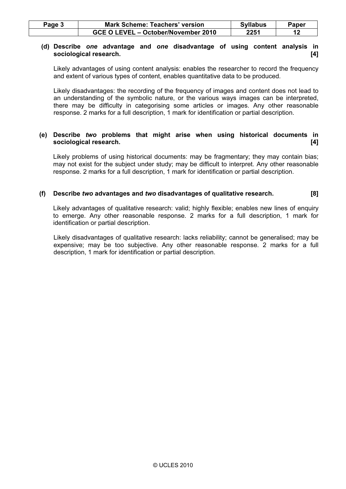| Page 3 | <b>Mark Scheme: Teachers' version</b> | <b>Syllabus</b> | Paper |
|--------|---------------------------------------|-----------------|-------|
|        | GCE O LEVEL – October/November 2010   | 2251            |       |

#### (d) Describe one advantage and one disadvantage of using content analysis in sociological research. [4]

 Likely advantages of using content analysis: enables the researcher to record the frequency and extent of various types of content, enables quantitative data to be produced.

 Likely disadvantages: the recording of the frequency of images and content does not lead to an understanding of the symbolic nature, or the various ways images can be interpreted, there may be difficulty in categorising some articles or images. Any other reasonable response. 2 marks for a full description, 1 mark for identification or partial description.

#### (e) Describe two problems that might arise when using historical documents in sociological research. [4]

Likely problems of using historical documents: may be fragmentary; they may contain bias; may not exist for the subject under study; may be difficult to interpret. Any other reasonable response. 2 marks for a full description, 1 mark for identification or partial description.

# (f) Describe two advantages and two disadvantages of qualitative research.  $[8]$

 Likely advantages of qualitative research: valid; highly flexible; enables new lines of enquiry to emerge. Any other reasonable response. 2 marks for a full description, 1 mark for identification or partial description.

 Likely disadvantages of qualitative research: lacks reliability; cannot be generalised; may be expensive; may be too subjective. Any other reasonable response. 2 marks for a full description, 1 mark for identification or partial description.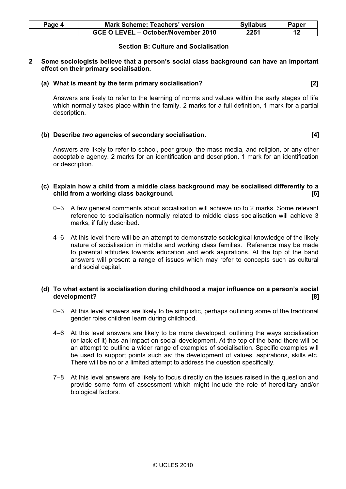| Paqe 4 | <b>Mark Scheme: Teachers' version</b> | <b>Syllabus</b> | Paper |
|--------|---------------------------------------|-----------------|-------|
|        | GCE O LEVEL - October/November 2010   | 2251            |       |

# Section B: Culture and Socialisation

#### 2 Some sociologists believe that a person's social class background can have an important effect on their primary socialisation.

## (a) What is meant by the term primary socialisation? [2]

Answers are likely to refer to the learning of norms and values within the early stages of life which normally takes place within the family. 2 marks for a full definition, 1 mark for a partial description.

# (b) Describe two agencies of secondary socialisation. [4]

Answers are likely to refer to school, peer group, the mass media, and religion, or any other acceptable agency. 2 marks for an identification and description. 1 mark for an identification or description.

## (c) Explain how a child from a middle class background may be socialised differently to a child from a working class background. [6]

- 0–3 A few general comments about socialisation will achieve up to 2 marks. Some relevant reference to socialisation normally related to middle class socialisation will achieve 3 marks, if fully described.
- 4–6 At this level there will be an attempt to demonstrate sociological knowledge of the likely nature of socialisation in middle and working class families. Reference may be made to parental attitudes towards education and work aspirations. At the top of the band answers will present a range of issues which may refer to concepts such as cultural and social capital.

# (d) To what extent is socialisation during childhood a major influence on a person's social development? [8]

- 0–3 At this level answers are likely to be simplistic, perhaps outlining some of the traditional gender roles children learn during childhood.
- 4–6 At this level answers are likely to be more developed, outlining the ways socialisation (or lack of it) has an impact on social development. At the top of the band there will be an attempt to outline a wider range of examples of socialisation. Specific examples will be used to support points such as: the development of values, aspirations, skills etc. There will be no or a limited attempt to address the question specifically.
- 7–8 At this level answers are likely to focus directly on the issues raised in the question and provide some form of assessment which might include the role of hereditary and/or biological factors.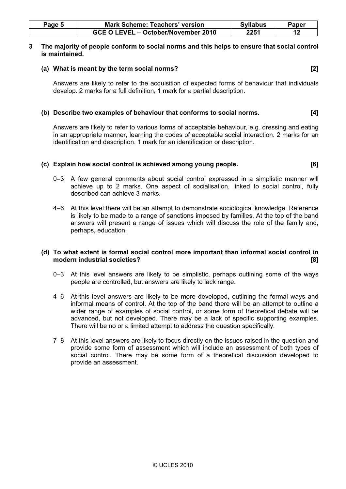| Paqe 5 | <b>Mark Scheme: Teachers' version</b> | <b>Syllabus</b> | Paper |
|--------|---------------------------------------|-----------------|-------|
|        | GCE O LEVEL - October/November 2010   | 2251            |       |

#### 3 The majority of people conform to social norms and this helps to ensure that social control is maintained.

#### (a) What is meant by the term social norms? [2]

 Answers are likely to refer to the acquisition of expected forms of behaviour that individuals develop. 2 marks for a full definition, 1 mark for a partial description.

# (b) Describe two examples of behaviour that conforms to social norms. [4]

 Answers are likely to refer to various forms of acceptable behaviour, e.g. dressing and eating in an appropriate manner, learning the codes of acceptable social interaction. 2 marks for an identification and description. 1 mark for an identification or description.

#### (c) Explain how social control is achieved among young people. [6]

- 0–3 A few general comments about social control expressed in a simplistic manner will achieve up to 2 marks. One aspect of socialisation, linked to social control, fully described can achieve 3 marks.
- 4–6 At this level there will be an attempt to demonstrate sociological knowledge. Reference is likely to be made to a range of sanctions imposed by families. At the top of the band answers will present a range of issues which will discuss the role of the family and, perhaps, education.

# (d) To what extent is formal social control more important than informal social control in modern industrial societies? [8]

- 0–3 At this level answers are likely to be simplistic, perhaps outlining some of the ways people are controlled, but answers are likely to lack range.
- 4–6 At this level answers are likely to be more developed, outlining the formal ways and informal means of control. At the top of the band there will be an attempt to outline a wider range of examples of social control, or some form of theoretical debate will be advanced, but not developed. There may be a lack of specific supporting examples. There will be no or a limited attempt to address the question specifically.
- 7–8 At this level answers are likely to focus directly on the issues raised in the question and provide some form of assessment which will include an assessment of both types of social control. There may be some form of a theoretical discussion developed to provide an assessment.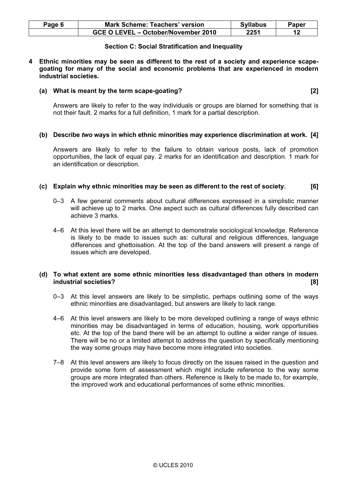| Page 6 | <b>Mark Scheme: Teachers' version</b> | <b>Syllabus</b> | Paper |
|--------|---------------------------------------|-----------------|-------|
|        | GCE O LEVEL - October/November 2010   | 2251            |       |

#### Section C: Social Stratification and Inequality

4 Ethnic minorities may be seen as different to the rest of a society and experience scapegoating for many of the social and economic problems that are experienced in modern industrial societies.

#### (a) What is meant by the term scape-goating? [2]

 Answers are likely to refer to the way individuals or groups are blamed for something that is not their fault. 2 marks for a full definition, 1 mark for a partial description.

#### (b) Describe two ways in which ethnic minorities may experience discrimination at work. [4]

Answers are likely to refer to the failure to obtain various posts, lack of promotion opportunities, the lack of equal pay. 2 marks for an identification and description. 1 mark for an identification or description.

#### (c) Explain why ethnic minorities may be seen as different to the rest of society. [6]

- 0–3 A few general comments about cultural differences expressed in a simplistic manner will achieve up to 2 marks. One aspect such as cultural differences fully described can achieve 3 marks.
- 4–6 At this level there will be an attempt to demonstrate sociological knowledge. Reference is likely to be made to issues such as: cultural and religious differences, language differences and ghettoisation. At the top of the band answers will present a range of issues which are developed.

#### (d) To what extent are some ethnic minorities less disadvantaged than others in modern industrial societies? [8]

- 0–3 At this level answers are likely to be simplistic, perhaps outlining some of the ways ethnic minorities are disadvantaged, but answers are likely to lack range.
- 4–6 At this level answers are likely to be more developed outlining a range of ways ethnic minorities may be disadvantaged in terms of education, housing, work opportunities etc. At the top of the band there will be an attempt to outline a wider range of issues. There will be no or a limited attempt to address the question by specifically mentioning the way some groups may have become more integrated into societies.
- 7–8 At this level answers are likely to focus directly on the issues raised in the question and provide some form of assessment which might include reference to the way some groups are more integrated than others. Reference is likely to be made to, for example, the improved work and educational performances of some ethnic minorities.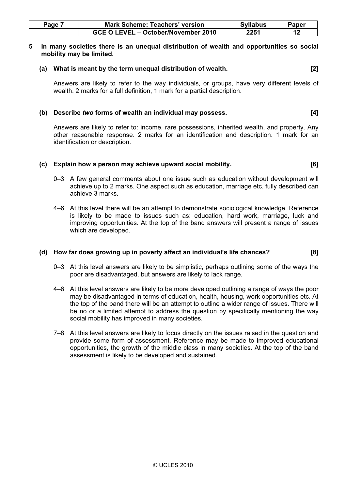| Page | <b>Mark Scheme: Teachers' version</b> | <b>Syllabus</b> | Paper |
|------|---------------------------------------|-----------------|-------|
|      | GCE O LEVEL - October/November 2010   | 2251            |       |

#### 5 In many societies there is an unequal distribution of wealth and opportunities so social mobility may be limited.

(a) What is meant by the term unequal distribution of wealth. [2]

 Answers are likely to refer to the way individuals, or groups, have very different levels of wealth. 2 marks for a full definition, 1 mark for a partial description.

#### (b) Describe two forms of wealth an individual may possess. [4]

 Answers are likely to refer to: income, rare possessions, inherited wealth, and property. Any other reasonable response. 2 marks for an identification and description. 1 mark for an identification or description.

#### (c) Explain how a person may achieve upward social mobility. [6]

- 0–3 A few general comments about one issue such as education without development will achieve up to 2 marks. One aspect such as education, marriage etc. fully described can achieve 3 marks.
- 4–6 At this level there will be an attempt to demonstrate sociological knowledge. Reference is likely to be made to issues such as: education, hard work, marriage, luck and improving opportunities. At the top of the band answers will present a range of issues which are developed.

# (d) How far does growing up in poverty affect an individual's life chances? [8]

- 0–3 At this level answers are likely to be simplistic, perhaps outlining some of the ways the poor are disadvantaged, but answers are likely to lack range.
- 4–6 At this level answers are likely to be more developed outlining a range of ways the poor may be disadvantaged in terms of education, health, housing, work opportunities etc. At the top of the band there will be an attempt to outline a wider range of issues. There will be no or a limited attempt to address the question by specifically mentioning the way social mobility has improved in many societies.
- 7–8 At this level answers are likely to focus directly on the issues raised in the question and provide some form of assessment. Reference may be made to improved educational opportunities, the growth of the middle class in many societies. At the top of the band assessment is likely to be developed and sustained.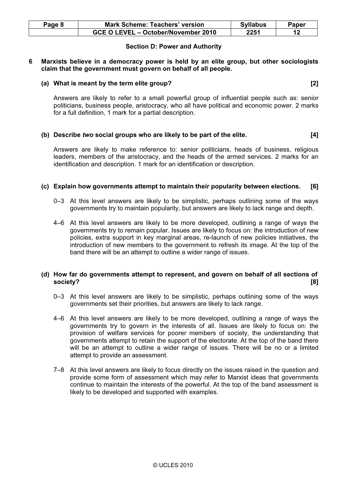| Page 8 | <b>Mark Scheme: Teachers' version</b> | <b>Syllabus</b> | Paper |
|--------|---------------------------------------|-----------------|-------|
|        | GCE O LEVEL – October/November 2010   | 2251            |       |

# Section D: Power and Authority

#### 6 Marxists believe in a democracy power is held by an elite group, but other sociologists claim that the government must govern on behalf of all people.

#### (a) What is meant by the term elite group? [2]

 Answers are likely to refer to a small powerful group of influential people such as: senior politicians, business people, aristocracy, who all have political and economic power. 2 marks for a full definition, 1 mark for a partial description.

#### (b) Describe two social groups who are likely to be part of the elite. [4]

Answers are likely to make reference to: senior politicians, heads of business, religious leaders, members of the aristocracy, and the heads of the armed services. 2 marks for an identification and description. 1 mark for an identification or description.

#### (c) Explain how governments attempt to maintain their popularity between elections. [6]

- 0–3 At this level answers are likely to be simplistic, perhaps outlining some of the ways governments try to maintain popularity, but answers are likely to lack range and depth.
- 4–6 At this level answers are likely to be more developed, outlining a range of ways the governments try to remain popular. Issues are likely to focus on: the introduction of new policies, extra support in key marginal areas, re-launch of new policies initiatives, the introduction of new members to the government to refresh its image. At the top of the band there will be an attempt to outline a wider range of issues.

#### (d) How far do governments attempt to represent, and govern on behalf of all sections of society? [8]

- 0–3 At this level answers are likely to be simplistic, perhaps outlining some of the ways governments set their priorities, but answers are likely to lack range.
- 4–6 At this level answers are likely to be more developed, outlining a range of ways the governments try to govern in the interests of all. Issues are likely to focus on: the provision of welfare services for poorer members of society, the understanding that governments attempt to retain the support of the electorate. At the top of the band there will be an attempt to outline a wider range of issues. There will be no or a limited attempt to provide an assessment.
- 7–8 At this level answers are likely to focus directly on the issues raised in the question and provide some form of assessment which may refer to Marxist ideas that governments continue to maintain the interests of the powerful. At the top of the band assessment is likely to be developed and supported with examples.